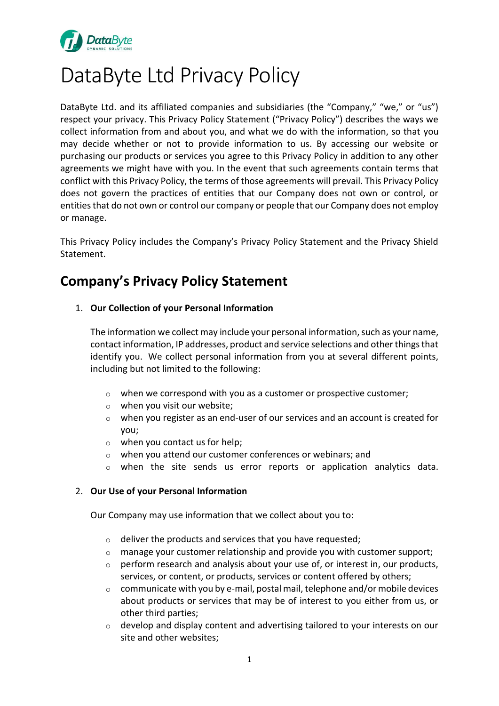

# DataByte Ltd Privacy Policy

DataByte Ltd. and its affiliated companies and subsidiaries (the "Company," "we," or "us") respect your privacy. This Privacy Policy Statement ("Privacy Policy") describes the ways we collect information from and about you, and what we do with the information, so that you may decide whether or not to provide information to us. By accessing our website or purchasing our products or services you agree to this Privacy Policy in addition to any other agreements we might have with you. In the event that such agreements contain terms that conflict with this Privacy Policy, the terms of those agreements will prevail. This Privacy Policy does not govern the practices of entities that our Company does not own or control, or entities that do not own or control our company or people that our Company does not employ or manage.

This Privacy Policy includes the Company's Privacy Policy Statement and the Privacy Shield Statement.

# **Company's Privacy Policy Statement**

1. **Our Collection of your Personal Information**

The information we collect may include your personal information, such as your name, contact information, IP addresses, product and service selections and other things that identify you. We collect personal information from you at several different points, including but not limited to the following:

- $\circ$  when we correspond with you as a customer or prospective customer;
- o when you visit our website;
- o when you register as an end-user of our services and an account is created for you;
- o when you contact us for help;
- o when you attend our customer conferences or webinars; and
- o when the site sends us error reports or application analytics data.

# 2. **Our Use of your Personal Information**

Our Company may use information that we collect about you to:

- o deliver the products and services that you have requested;
- $\circ$  manage your customer relationship and provide you with customer support;
- $\circ$  perform research and analysis about your use of, or interest in, our products, services, or content, or products, services or content offered by others;
- o communicate with you by e-mail, postal mail, telephone and/or mobile devices about products or services that may be of interest to you either from us, or other third parties;
- $\circ$  develop and display content and advertising tailored to your interests on our site and other websites;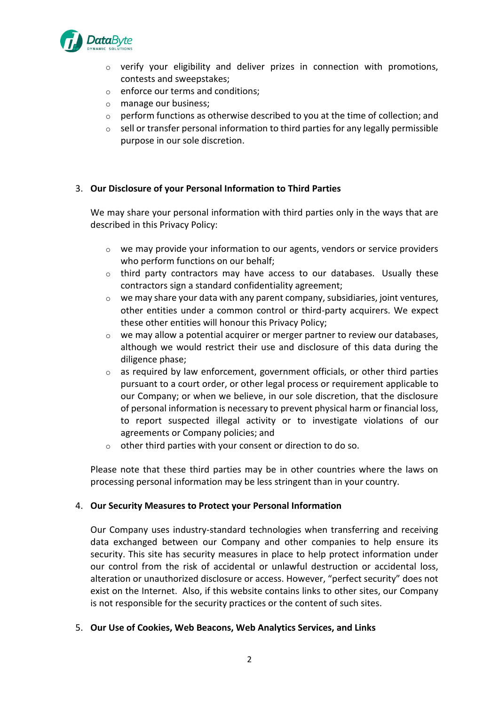

- $\circ$  verify your eligibility and deliver prizes in connection with promotions, contests and sweepstakes;
- o enforce our terms and conditions;
- o manage our business;
- o perform functions as otherwise described to you at the time of collection; and
- $\circ$  sell or transfer personal information to third parties for any legally permissible purpose in our sole discretion.

# 3. **Our Disclosure of your Personal Information to Third Parties**

We may share your personal information with third parties only in the ways that are described in this Privacy Policy:

- $\circ$  we may provide your information to our agents, vendors or service providers who perform functions on our behalf;
- o third party contractors may have access to our databases. Usually these contractors sign a standard confidentiality agreement;
- o we may share your data with any parent company, subsidiaries, joint ventures, other entities under a common control or third-party acquirers. We expect these other entities will honour this Privacy Policy;
- $\circ$  we may allow a potential acquirer or merger partner to review our databases, although we would restrict their use and disclosure of this data during the diligence phase;
- o as required by law enforcement, government officials, or other third parties pursuant to a court order, or other legal process or requirement applicable to our Company; or when we believe, in our sole discretion, that the disclosure of personal information is necessary to prevent physical harm or financial loss, to report suspected illegal activity or to investigate violations of our agreements or Company policies; and
- o other third parties with your consent or direction to do so.

Please note that these third parties may be in other countries where the laws on processing personal information may be less stringent than in your country.

#### 4. **Our Security Measures to Protect your Personal Information**

Our Company uses industry-standard technologies when transferring and receiving data exchanged between our Company and other companies to help ensure its security. This site has security measures in place to help protect information under our control from the risk of accidental or unlawful destruction or accidental loss, alteration or unauthorized disclosure or access. However, "perfect security" does not exist on the Internet. Also, if this website contains links to other sites, our Company is not responsible for the security practices or the content of such sites.

#### 5. **Our Use of Cookies, Web Beacons, Web Analytics Services, and Links**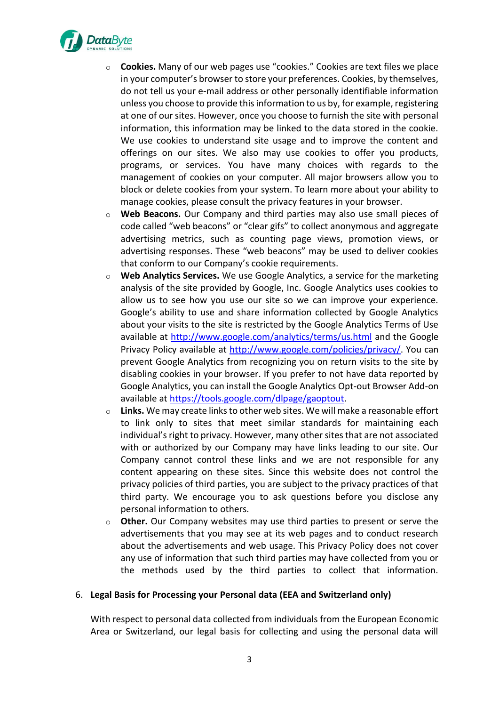

- o **Cookies.** Many of our web pages use "cookies." Cookies are text files we place in your computer's browser to store your preferences. Cookies, by themselves, do not tell us your e-mail address or other personally identifiable information unless you choose to provide this information to us by, for example, registering at one of our sites. However, once you choose to furnish the site with personal information, this information may be linked to the data stored in the cookie. We use cookies to understand site usage and to improve the content and offerings on our sites. We also may use cookies to offer you products, programs, or services. You have many choices with regards to the management of cookies on your computer. All major browsers allow you to block or delete cookies from your system. To learn more about your ability to manage cookies, please consult the privacy features in your browser.
- o **Web Beacons.** Our Company and third parties may also use small pieces of code called "web beacons" or "clear gifs" to collect anonymous and aggregate advertising metrics, such as counting page views, promotion views, or advertising responses. These "web beacons" may be used to deliver cookies that conform to our Company's cookie requirements.
- o **Web Analytics Services.** We use Google Analytics, a service for the marketing analysis of the site provided by Google, Inc. Google Analytics uses cookies to allow us to see how you use our site so we can improve your experience. Google's ability to use and share information collected by Google Analytics about your visits to the site is restricted by the Google Analytics Terms of Use available at<http://www.google.com/analytics/terms/us.html> and the Google Privacy Policy available at [http://www.google.com/policies/privacy/.](http://www.google.com/policies/privacy/) You can prevent Google Analytics from recognizing you on return visits to the site by disabling cookies in your browser. If you prefer to not have data reported by Google Analytics, you can install the Google Analytics Opt-out Browser Add-on available at [https://tools.google.com/dlpage/gaoptout.](http://https/tools.google.com/dlpage/gaoptout)
- o **Links.** We may create links to other web sites. We will make a reasonable effort to link only to sites that meet similar standards for maintaining each individual's right to privacy. However, many other sites that are not associated with or authorized by our Company may have links leading to our site. Our Company cannot control these links and we are not responsible for any content appearing on these sites. Since this website does not control the privacy policies of third parties, you are subject to the privacy practices of that third party. We encourage you to ask questions before you disclose any personal information to others.
- o **Other.** Our Company websites may use third parties to present or serve the advertisements that you may see at its web pages and to conduct research about the advertisements and web usage. This Privacy Policy does not cover any use of information that such third parties may have collected from you or the methods used by the third parties to collect that information.

#### 6. **Legal Basis for Processing your Personal data (EEA and Switzerland only)**

With respect to personal data collected from individuals from the European Economic Area or Switzerland, our legal basis for collecting and using the personal data will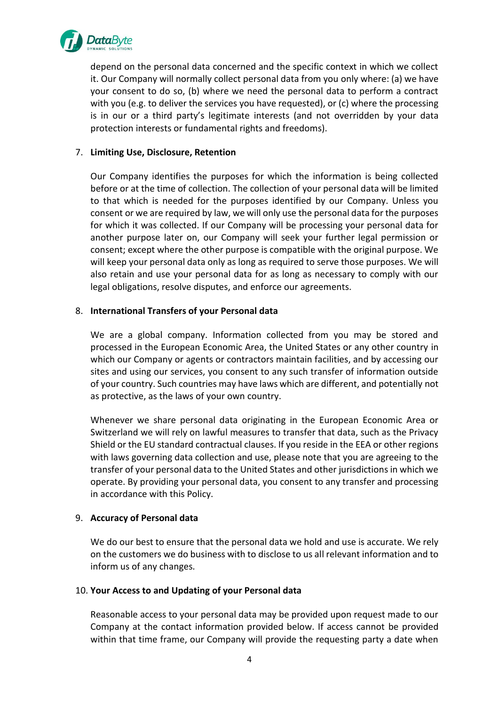

depend on the personal data concerned and the specific context in which we collect it. Our Company will normally collect personal data from you only where: (a) we have your consent to do so, (b) where we need the personal data to perform a contract with you (e.g. to deliver the services you have requested), or (c) where the processing is in our or a third party's legitimate interests (and not overridden by your data protection interests or fundamental rights and freedoms).

# 7. **Limiting Use, Disclosure, Retention**

Our Company identifies the purposes for which the information is being collected before or at the time of collection. The collection of your personal data will be limited to that which is needed for the purposes identified by our Company. Unless you consent or we are required by law, we will only use the personal data for the purposes for which it was collected. If our Company will be processing your personal data for another purpose later on, our Company will seek your further legal permission or consent; except where the other purpose is compatible with the original purpose. We will keep your personal data only as long as required to serve those purposes. We will also retain and use your personal data for as long as necessary to comply with our legal obligations, resolve disputes, and enforce our agreements.

#### 8. **International Transfers of your Personal data**

We are a global company. Information collected from you may be stored and processed in the European Economic Area, the United States or any other country in which our Company or agents or contractors maintain facilities, and by accessing our sites and using our services, you consent to any such transfer of information outside of your country. Such countries may have laws which are different, and potentially not as protective, as the laws of your own country.

Whenever we share personal data originating in the European Economic Area or Switzerland we will rely on lawful measures to transfer that data, such as the Privacy Shield or the EU standard contractual clauses. If you reside in the EEA or other regions with laws governing data collection and use, please note that you are agreeing to the transfer of your personal data to the United States and other jurisdictions in which we operate. By providing your personal data, you consent to any transfer and processing in accordance with this Policy.

# 9. **Accuracy of Personal data**

We do our best to ensure that the personal data we hold and use is accurate. We rely on the customers we do business with to disclose to us all relevant information and to inform us of any changes.

#### 10. **Your Access to and Updating of your Personal data**

Reasonable access to your personal data may be provided upon request made to our Company at the contact information provided below. If access cannot be provided within that time frame, our Company will provide the requesting party a date when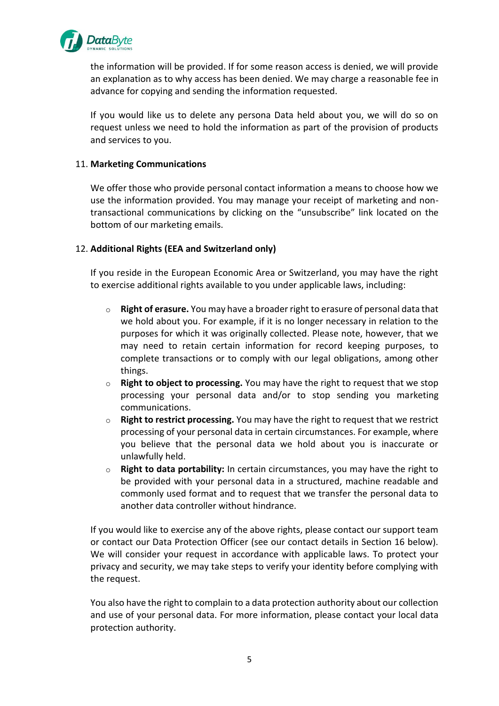

the information will be provided. If for some reason access is denied, we will provide an explanation as to why access has been denied. We may charge a reasonable fee in advance for copying and sending the information requested.

If you would like us to delete any persona Data held about you, we will do so on request unless we need to hold the information as part of the provision of products and services to you.

#### 11. **Marketing Communications**

We offer those who provide personal contact information a means to choose how we use the information provided. You may manage your receipt of marketing and nontransactional communications by clicking on the "unsubscribe" link located on the bottom of our marketing emails.

# 12. **Additional Rights (EEA and Switzerland only)**

If you reside in the European Economic Area or Switzerland, you may have the right to exercise additional rights available to you under applicable laws, including:

- o **Right of erasure.** You may have a broader right to erasure of personal data that we hold about you. For example, if it is no longer necessary in relation to the purposes for which it was originally collected. Please note, however, that we may need to retain certain information for record keeping purposes, to complete transactions or to comply with our legal obligations, among other things.
- o **Right to object to processing.** You may have the right to request that we stop processing your personal data and/or to stop sending you marketing communications.
- o **Right to restrict processing.** You may have the right to request that we restrict processing of your personal data in certain circumstances. For example, where you believe that the personal data we hold about you is inaccurate or unlawfully held.
- o **Right to data portability:** In certain circumstances, you may have the right to be provided with your personal data in a structured, machine readable and commonly used format and to request that we transfer the personal data to another data controller without hindrance.

If you would like to exercise any of the above rights, please contact our support team or contact our Data Protection Officer (see our contact details in Section 16 below). We will consider your request in accordance with applicable laws. To protect your privacy and security, we may take steps to verify your identity before complying with the request.

You also have the right to complain to a data protection authority about our collection and use of your personal data. For more information, please contact your local data protection authority.